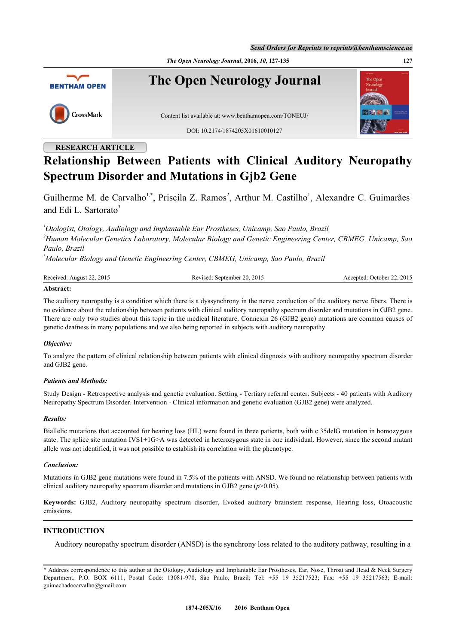*The Open Neurology Journal***, 2016,** *10***, 127-135 127**



# **RESEARCH ARTICLE**

# **Relationship Between Patients with Clinical Auditory Neuropathy Spectrum Disorder and Mutations in Gjb2 Gene**

Guilherme M. de Carvalho<sup>[1,](#page-0-0)[\\*](#page-0-1)</sup>, Priscila Z. Ramos<sup>[2](#page-0-2)</sup>, Arthur M. Castilho<sup>[1](#page-0-0)</sup>, Alexandre C. Guimarães<sup>1</sup> and Edi L. Sartorato<sup>[3](#page-0-3)</sup>

<span id="page-0-2"></span><span id="page-0-0"></span>*<sup>1</sup>Otologist, Otology, Audiology and Implantable Ear Prostheses, Unicamp, Sao Paulo, Brazil <sup>2</sup>Human Molecular Genetics Laboratory, Molecular Biology and Genetic Engineering Center, CBMEG, Unicamp, Sao Paulo, Brazil*

<span id="page-0-3"></span>*<sup>3</sup>Molecular Biology and Genetic Engineering Center, CBMEG, Unicamp, Sao Paulo, Brazil*

| Received: August 22, 2015         | Revised: September 20, 2015 | Accepted: October 22, 2015 |
|-----------------------------------|-----------------------------|----------------------------|
| <b>A</b> Leaders and $\mathbf{A}$ |                             |                            |

## **Abstract:**

The auditory neuropathy is a condition which there is a dyssynchrony in the nerve conduction of the auditory nerve fibers. There is no evidence about the relationship between patients with clinical auditory neuropathy spectrum disorder and mutations in GJB2 gene. There are only two studies about this topic in the medical literature. Connexin 26 (GJB2 gene) mutations are common causes of genetic deafness in many populations and we also being reported in subjects with auditory neuropathy.

#### *Objective:*

To analyze the pattern of clinical relationship between patients with clinical diagnosis with auditory neuropathy spectrum disorder and GJB2 gene.

#### *Patients and Methods:*

Study Design - Retrospective analysis and genetic evaluation. Setting - Tertiary referral center. Subjects - 40 patients with Auditory Neuropathy Spectrum Disorder. Intervention - Clinical information and genetic evaluation (GJB2 gene) were analyzed.

#### *Results:*

Biallelic mutations that accounted for hearing loss (HL) were found in three patients, both with c.35delG mutation in homozygous state. The splice site mutation IVS1+1G>A was detected in heterozygous state in one individual. However, since the second mutant allele was not identified, it was not possible to establish its correlation with the phenotype.

#### *Conclusion:*

Mutations in GJB2 gene mutations were found in 7.5% of the patients with ANSD. We found no relationship between patients with clinical auditory neuropathy spectrum disorder and mutations in GJB2 gene (*p*>0.05).

**Keywords:** GJB2, Auditory neuropathy spectrum disorder, Evoked auditory brainstem response, Hearing loss, Otoacoustic emissions.

## **INTRODUCTION**

Auditory neuropathy spectrum disorder (ANSD) is the synchrony loss related to the auditory pathway, resulting in a

<span id="page-0-1"></span><sup>\*</sup> Address correspondence to this author at the Otology, Audiology and Implantable Ear Prostheses, Ear, Nose, Throat and Head & Neck Surgery Department, P.O. BOX 6111, Postal Code: 13081-970, São Paulo, Brazil; Tel: +55 19 35217523; Fax: +55 19 35217563; E-mail: [guimachadocarvalho@gmail.com](mailto:guimachadocarvalho@gmail.com)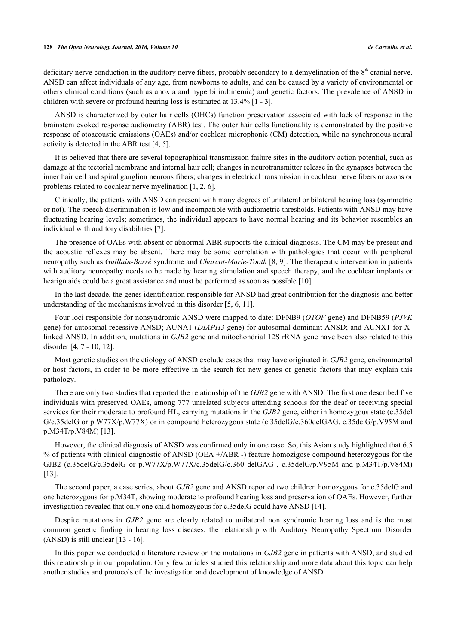deficitary nerve conduction in the auditory nerve fibers, probably secondary to a demyelination of the  $8<sup>th</sup>$  cranial nerve. ANSD can affect individuals of any age, from newborns to adults, and can be caused by a variety of environmental or others clinical conditions (such as anoxia and hyperbilirubinemia) and genetic factors. The prevalence of ANSD in children with severe or profound hearing loss is estimated at 13.4% [\[1](#page-6-0) - [3\]](#page-7-0).

ANSD is characterized by outer hair cells (OHCs) function preservation associated with lack of response in the brainstem evoked response audiometry (ABR) test. The outer hair cells functionality is demonstrated by the positive response of otoacoustic emissions (OAEs) and/or cochlear microphonic (CM) detection, while no synchronous neural activity is detected in the ABR test [[4](#page-7-1)[, 5\]](#page-7-2).

It is believed that there are several topographical transmission failure sites in the auditory action potential, such as damage at the tectorial membrane and internal hair cell; changes in neurotransmitter release in the synapses between the inner hair cell and spiral ganglion neurons fibers; changes in electrical transmission in cochlear nerve fibers or axons or problems related to cochlear nerve myelination [\[1](#page-6-0), [2](#page-7-3), [6](#page-7-4)].

Clinically, the patients with ANSD can present with many degrees of unilateral or bilateral hearing loss (symmetric or not). The speech discrimination is low and incompatible with audiometric thresholds. Patients with ANSD may have fluctuating hearing levels; sometimes, the individual appears to have normal hearing and its behavior resembles an individual with auditory disabilities [\[7](#page-7-5)].

The presence of OAEs with absent or abnormal ABR supports the clinical diagnosis. The CM may be present and the acoustic reflexes may be absent. There may be some correlation with pathologies that occur with peripheral neuropathy such as *Guillain-Barré* syndrome and *Charcot-Marie-Tooth* [[8](#page-7-6)[, 9](#page-7-7)]. The therapeutic intervention in patients with auditory neuropathy needs to be made by hearing stimulation and speech therapy, and the cochlear implants or hearign aids could be a great assistance and must be performed as soon as possible [\[10](#page-7-8)].

In the last decade, the genes identification responsible for ANSD had great contribution for the diagnosis and better understanding of the mechanisms involved in this disorder [[5,](#page-7-2) [6,](#page-7-4) [11\]](#page-7-9).

Four loci responsible for nonsyndromic ANSD were mapped to date: DFNB9 (*OTOF* gene) and DFNB59 (*PJVK* gene) for autosomal recessive ANSD; AUNA1 (*DIAPH3* gene) for autosomal dominant ANSD; and AUNX1 for Xlinked ANSD. In addition, mutations in *GJB2* gene and mitochondrial 12S rRNA gene have been also related to this disorder [\[4](#page-7-1), [7](#page-7-5) - [10,](#page-7-8) [12\]](#page-7-10).

Most genetic studies on the etiology of ANSD exclude cases that may have originated in *GJB2* gene, environmental or host factors, in order to be more effective in the search for new genes or genetic factors that may explain this pathology.

There are only two studies that reported the relationship of the *GJB2* gene with ANSD. The first one described five individuals with preserved OAEs, among 777 unrelated subjects attending schools for the deaf or receiving special services for their moderate to profound HL, carrying mutations in the *GJB2* gene, either in homozygous state (c.35del G/c.35delG or p.W77X/p.W77X) or in compound heterozygous state (c.35delG/c.360delGAG, c.35delG/p.V95M and p.M34T/p.V84M) [[13\]](#page-7-11).

However, the clinical diagnosis of ANSD was confirmed only in one case. So, this Asian study highlighted that 6.5 % of patients with clinical diagnostic of ANSD (OEA +/ABR -) feature homozigose compound heterozygous for the GJB2 (c.35delG/c.35delG or p.W77X/p.W77X/c.35delG/c.360 delGAG, c.35delG/p.V95M and p.M34T/p.V84M) [\[13](#page-7-11)].

The second paper, a case series, about *GJB2* gene and ANSD reported two children homozygous for c.35delG and one heterozygous for p.M34T, showing moderate to profound hearing loss and preservation of OAEs. However, further investigation revealed that only one child homozygous for c.35delG could have ANSD [\[14](#page-7-12)].

Despite mutations in *GJB2* gene are clearly related to unilateral non syndromic hearing loss and is the most common genetic finding in hearing loss diseases, the relationship with Auditory Neuropathy Spectrum Disorder (ANSD) is still unclear [\[13](#page-7-11) - [16](#page-7-13)].

In this paper we conducted a literature review on the mutations in *GJB2* gene in patients with ANSD, and studied this relationship in our population. Only few articles studied this relationship and more data about this topic can help another studies and protocols of the investigation and development of knowledge of ANSD.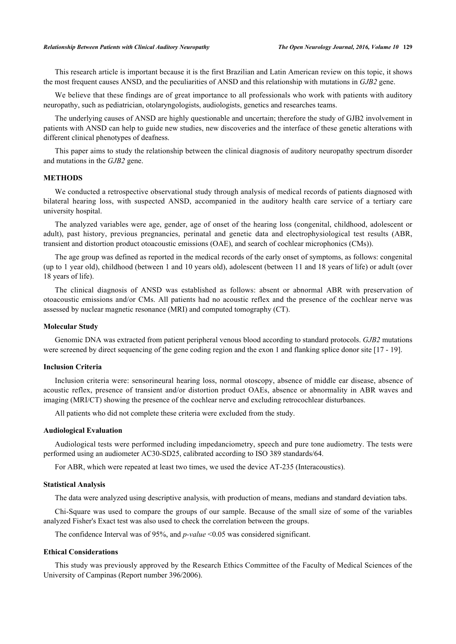This research article is important because it is the first Brazilian and Latin American review on this topic, it shows the most frequent causes ANSD, and the peculiarities of ANSD and this relationship with mutations in *GJB2* gene.

We believe that these findings are of great importance to all professionals who work with patients with auditory neuropathy, such as pediatrician, otolaryngologists, audiologists, genetics and researches teams.

The underlying causes of ANSD are highly questionable and uncertain; therefore the study of GJB2 involvement in patients with ANSD can help to guide new studies, new discoveries and the interface of these genetic alterations with different clinical phenotypes of deafness.

This paper aims to study the relationship between the clinical diagnosis of auditory neuropathy spectrum disorder and mutations in the *GJB2* gene.

#### **METHODS**

We conducted a retrospective observational study through analysis of medical records of patients diagnosed with bilateral hearing loss, with suspected ANSD, accompanied in the auditory health care service of a tertiary care university hospital.

The analyzed variables were age, gender, age of onset of the hearing loss (congenital, childhood, adolescent or adult), past history, previous pregnancies, perinatal and genetic data and electrophysiological test results (ABR, transient and distortion product otoacoustic emissions (OAE), and search of cochlear microphonics (CMs)).

The age group was defined as reported in the medical records of the early onset of symptoms, as follows: congenital (up to 1 year old), childhood (between 1 and 10 years old), adolescent (between 11 and 18 years of life) or adult (over 18 years of life).

The clinical diagnosis of ANSD was established as follows: absent or abnormal ABR with preservation of otoacoustic emissions and/or CMs. All patients had no acoustic reflex and the presence of the cochlear nerve was assessed by nuclear magnetic resonance (MRI) and computed tomography (CT).

## **Molecular Study**

Genomic DNA was extracted from patient peripheral venous blood according to standard protocols. *GJB2* mutations were screened by direct sequencing of the gene coding region and the exon 1 and flanking splice donor site [\[17](#page-7-14) - [19\]](#page-7-15).

## **Inclusion Criteria**

Inclusion criteria were: sensorineural hearing loss, normal otoscopy, absence of middle ear disease, absence of acoustic reflex, presence of transient and/or distortion product OAEs, absence or abnormality in ABR waves and imaging (MRI/CT) showing the presence of the cochlear nerve and excluding retrocochlear disturbances.

All patients who did not complete these criteria were excluded from the study.

## **Audiological Evaluation**

Audiological tests were performed including impedanciometry, speech and pure tone audiometry. The tests were performed using an audiometer AC30-SD25, calibrated according to ISO 389 standards/64.

For ABR, which were repeated at least two times, we used the device AT-235 (Interacoustics).

## **Statistical Analysis**

The data were analyzed using descriptive analysis, with production of means, medians and standard deviation tabs.

Chi-Square was used to compare the groups of our sample. Because of the small size of some of the variables analyzed Fisher's Exact test was also used to check the correlation between the groups.

The confidence Interval was of 95%, and *p-value* <0.05 was considered significant.

## **Ethical Considerations**

This study was previously approved by the Research Ethics Committee of the Faculty of Medical Sciences of the University of Campinas (Report number 396/2006).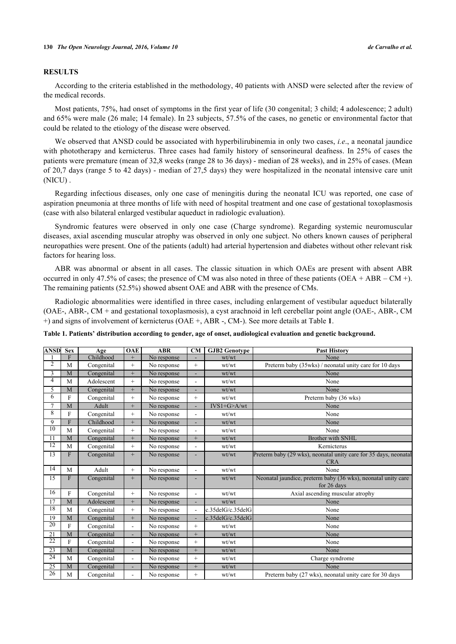#### **RESULTS**

According to the criteria established in the methodology, 40 patients with ANSD were selected after the review of the medical records.

Most patients, 75%, had onset of symptoms in the first year of life (30 congenital; 3 child; 4 adolescence; 2 adult) and 65% were male (26 male; 14 female). In 23 subjects, 57.5% of the cases, no genetic or environmental factor that could be related to the etiology of the disease were observed.

We observed that ANSD could be associated with hyperbilirubinemia in only two cases, *i.e*., a neonatal jaundice with phototherapy and kernicterus. Three cases had family history of sensorineural deafness. In 25% of cases the patients were premature (mean of 32,8 weeks (range 28 to 36 days) - median of 28 weeks), and in 25% of cases. (Mean of 20,7 days (range 5 to 42 days) - median of 27,5 days) they were hospitalized in the neonatal intensive care unit (NICU) .

Regarding infectious diseases, only one case of meningitis during the neonatal ICU was reported, one case of aspiration pneumonia at three months of life with need of hospital treatment and one case of gestational toxoplasmosis (case with also bilateral enlarged vestibular aqueduct in radiologic evaluation).

Syndromic features were observed in only one case (Charge syndrome). Regarding systemic neuromuscular diseases, axial ascending muscular atrophy was observed in only one subject. No others known causes of peripheral neuropathies were present. One of the patients (adult) had arterial hypertension and diabetes without other relevant risk factors for hearing loss.

ABR was abnormal or absent in all cases. The classic situation in which OAEs are present with absent ABR occurred in only 47.5% of cases; the presence of CM was also noted in three of these patients (OEA + ABR – CM +). The remaining patients (52.5%) showed absent OAE and ABR with the presence of CMs.

Radiologic abnormalities were identified in three cases, including enlargement of vestibular aqueduct bilaterally (OAE-, ABR-, CM + and gestational toxoplasmosis), a cyst arachnoid in left cerebellar point angle (OAE-, ABR-, CM +) and signs of involvement of kernicterus (OAE +, ABR -, CM-). See more details at Table **[1](#page-3-0)**.

<span id="page-3-0"></span>

| Table 1. Patients' distribution according to gender, age of onset, audiological evaluation and genetic background. |  |  |  |  |  |  |  |  |
|--------------------------------------------------------------------------------------------------------------------|--|--|--|--|--|--|--|--|
|--------------------------------------------------------------------------------------------------------------------|--|--|--|--|--|--|--|--|

| <b>ANSD</b>     | <b>Sex</b>     | Age        | <b>OAE</b>               | <b>ABR</b>  | <b>CM</b> | <b>GJB2</b> Genotype | <b>Past History</b>                                                            |
|-----------------|----------------|------------|--------------------------|-------------|-----------|----------------------|--------------------------------------------------------------------------------|
|                 | F              | Childhood  | $^{+}$                   | No response | ۰         | wt/wt                | None                                                                           |
| 2               | M              | Congenital | $^{+}$                   | No response | $^{+}$    | wt/wt                | Preterm baby (35wks) / neonatal unity care for 10 days                         |
| 3               | M              | Congenital | $+$                      | No response |           | wt/wt                | None                                                                           |
| 4               | M              | Adolescent | $^{+}$                   | No response | ۰         | wt/wt                | None                                                                           |
| 5               | $\overline{M}$ | Congenital | $\overline{+}$           | No response |           | wt/wt                | None                                                                           |
| 6               | F              | Congenital | $^{+}$                   | No response | $+$       | wt/wt                | Preterm baby (36 wks)                                                          |
| 7               | M              | Adult      | $^{+}$                   | No response |           | $IVS1+G>A/wt$        | None                                                                           |
| 8               | F              | Congenital | $+$                      | No response | ۰         | wt/wt                | None                                                                           |
| 9               | $\mathbf F$    | Childhood  | $\qquad \qquad +$        | No response | ۰         | wt/wt                | None                                                                           |
| $\overline{10}$ | M              | Congenital | $^{+}$                   | No response |           | wt/wt                | None                                                                           |
| 11              | M              | Congenital | $^{+}$                   | No response | $^{+}$    | wt/wt                | <b>Brother with SNHL</b>                                                       |
| $\overline{12}$ | M              | Congenital | $+$                      | No response |           | wt/wt                | Kernicterus                                                                    |
| $\overline{13}$ | F              | Congenital | $^{+}$                   | No response |           | wt/wt                | Preterm baby (29 wks), neonatal unity care for 35 days, neonatal<br><b>CRA</b> |
| 14              | M              | Adult      | $+$                      | No response | ÷,        | wt/wt                | None                                                                           |
| 15              | F              | Congenital | $+$                      | No response | ۰         | wt/wt                | Neonatal jaundice, preterm baby (36 wks), neonatal unity care<br>for 26 days   |
| 16              | F              | Congenital | $^{+}$                   | No response | ÷,        | wt/wt                | Axial ascending muscular atrophy                                               |
| 17              | M              | Adolescent | $\overline{+}$           | No response |           | wt/wt                | None                                                                           |
| 18              | M              | Congenital | $^{+}$                   | No response | ٠         | c.35delG/c.35delG    | None                                                                           |
| $\overline{19}$ | M              | Congenital | $^{+}$                   | No response |           | c.35delG/c.35delG    | None                                                                           |
| $\overline{20}$ | F              | Congenital | $\blacksquare$           | No response | $+$       | wt/wt                | None                                                                           |
| $\overline{21}$ | M              | Congenital | ٠                        | No response | $^{+}$    | wt/wt                | None                                                                           |
| $\overline{22}$ | F              | Congenital | ٠                        | No response | $+$       | wt/wt                | None                                                                           |
| 23              | M              | Congenital | ÷,                       | No response | $+$       | wt/wt                | None                                                                           |
| $\overline{24}$ | M              | Congenital | $\overline{\phantom{a}}$ | No response | $+$       | wt/wt                | Charge syndrome                                                                |
| $\overline{25}$ | $\overline{M}$ | Congenital | ۰                        | No response | $^{+}$    | wt/wt                | None                                                                           |
| 26              | M              | Congenital | ÷,                       | No response | $^{+}$    | wt/wt                | Preterm baby (27 wks), neonatal unity care for 30 days                         |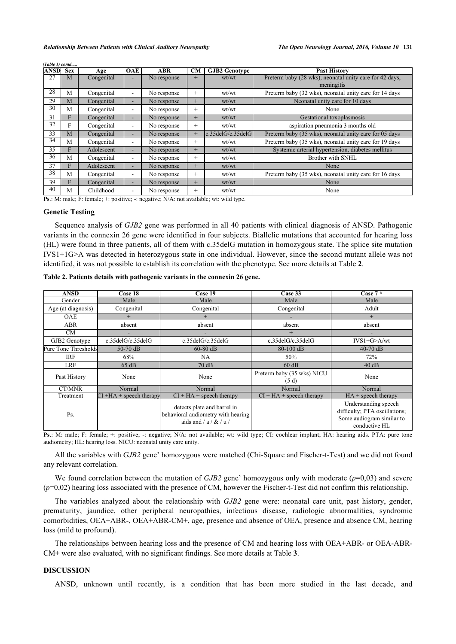| ANSD | <b>Sex</b> | Age        | <b>OAE</b>                   | <b>ABR</b>  | CM     | <b>GJB2 Genotype</b>        | <b>Past History</b>                                     |  |
|------|------------|------------|------------------------------|-------------|--------|-----------------------------|---------------------------------------------------------|--|
| 27   | М          | Congenital |                              | No response | $+$    | wt/wt                       | Preterm baby (28 wks), neonatal unity care for 42 days, |  |
|      |            |            |                              |             |        |                             | meningitis                                              |  |
| 28   | M          | Congenital | ۰                            | No response | $^{+}$ | wt/wt                       | Preterm baby (32 wks), neonatal unity care for 14 days  |  |
| 29   | M          | Congenital | ٠.                           | No response | $+$    | wt/wt                       | Neonatal unity care for 10 days                         |  |
| 30   | M          | Congenital | $\overline{\phantom{a}}$     | No response | $^{+}$ | wt/wt                       | None                                                    |  |
| 31   |            | Congenital | ۰.                           | No response | $+$    | wt/wt                       | Gestational toxoplasmosis                               |  |
| 32   | F          | Congenital | ۰                            | No response | $^{+}$ | wt/wt                       | aspiration pneumonia 3 months old                       |  |
| 33   | M          | Congenital | ۰.                           | No response | $+$    | $c.35$ del $G/c.35$ del $G$ | Preterm baby (35 wks), neonatal unity care for 05 days  |  |
| 34   | M          | Congenital | $\overline{\phantom{a}}$     | No response | $^{+}$ | wt/wt                       | Preterm baby (35 wks), neonatal unity care for 19 days  |  |
| 35   |            | Adolescent | ۰.                           | No response | $+$    | wt/wt                       | Systemic arterial hypertension, diabetes mellitus       |  |
| 36   | M          | Congenital | $\overline{\phantom{a}}$     | No response | $^{+}$ | wt/wt                       | Brother with SNHL                                       |  |
| 37   |            | Adolescent | ۰.                           | No response | $+$    | wt/wt                       | None                                                    |  |
| 38   | M          | Congenital | $\qquad \qquad \blacksquare$ | No response | $^{+}$ | wt/wt                       | Preterm baby (35 wks), neonatal unity care for 16 days  |  |
| 39   |            | Congenital | ۰.                           | No response | $+$    | wt/wt                       | None                                                    |  |
| 40   | M          | Childhood  | ۰                            | No response | $^{+}$ | wt/wt                       | None                                                    |  |

*(Table 1) contd.....*

**Ps**.: M: male; F: female; +: positive; -: negative; N/A: not available; wt: wild type.

## **Genetic Testing**

Sequence analysis of *GJB2* gene was performed in all 40 patients with clinical diagnosis of ANSD. Pathogenic variants in the connexin 26 gene were identified in four subjects. Biallelic mutations that accounted for hearing loss (HL) were found in three patients, all of them with c.35delG mutation in homozygous state. The splice site mutation IVS1+1G>A was detected in heterozygous state in one individual. However, since the second mutant allele was not identified, it was not possible to establish its correlation with the phenotype. See more details at Table **[2](#page-4-0)**.

| <b>ANSD</b>          | Case 18                    | Case 19                                                                                      | Case 33                            | Case $7*$                                                                                           |
|----------------------|----------------------------|----------------------------------------------------------------------------------------------|------------------------------------|-----------------------------------------------------------------------------------------------------|
| Gender               | Male                       | Male                                                                                         | Male                               | Male                                                                                                |
| Age (at diagnosis)   | Congenital                 | Congenital                                                                                   | Congenital                         | Adult                                                                                               |
| <b>OAE</b>           | $^{+}$                     |                                                                                              |                                    | $+$                                                                                                 |
| ABR                  | absent                     | absent                                                                                       | absent                             | absent                                                                                              |
| CM                   |                            |                                                                                              | $+$                                |                                                                                                     |
| GJB2 Genotype        | c.35delG/c.35delG          | $c.35$ del $G/c.35$ del $G$                                                                  | $c.35$ del $G/c.35$ del $G$        | $IVS1+G>A/wt$                                                                                       |
| Pure Tone Thresholds | $50-70$ dB                 | $60-80$ dB                                                                                   | 80-100 dB                          | $40-70$ dB                                                                                          |
| <b>IRF</b>           | 68%                        | NA                                                                                           | 50%                                | 72%                                                                                                 |
| <b>LRF</b>           | 65 dB                      | 70dB                                                                                         | $60$ dB                            | 40 dB                                                                                               |
| Past History         | None                       | None                                                                                         | Preterm baby (35 wks) NICU<br>(5d) | None                                                                                                |
| CT/MNR               | Normal                     | Normal                                                                                       | Normal                             | Normal                                                                                              |
| Treatment            | $CI + HA + speech$ therapy | $CI + HA + speech therapy$                                                                   | $CI + HA + speech therapy$         | $HA$ + speech therapy                                                                               |
| Ps.                  |                            | detects plate and barrel in<br>behavioral audiometry with hearing<br>aids and $/a / & / u /$ |                                    | Understanding speech<br>difficulty; PTA oscillations;<br>Some audiogram similar to<br>conductive HL |

<span id="page-4-0"></span>**Table 2. Patients details with pathogenic variants in the connexin 26 gene.**

Ps.: M: male; F: female; +: positive; -: negative; N/A: not available; wt: wild type; CI: cochlear implant; HA: hearing aids. PTA: pure tone audiometry; HL: hearing loss. NICU: neonatal unity care unity.

All the variables with *GJB2* gene' homozygous were matched (Chi-Square and Fischer-t-Test) and we did not found any relevant correlation.

We found correlation between the mutation of *GJB2* gene' homozygous only with moderate  $(p=0.03)$  and severe (*p*=0,02) hearing loss associated with the presence of CM, however the Fischer-t-Test did not confirm this relationship.

The variables analyzed about the relationship with *GJB2* gene were: neonatal care unit, past history, gender, prematurity, jaundice, other peripheral neuropathies, infectious disease, radiologic abnormalities, syndromic comorbidities, OEA+ABR-, OEA+ABR-CM+, age, presence and absence of OEA, presence and absence CM, hearing loss (mild to profound).

The relationships between hearing loss and the presence of CM and hearing loss with OEA+ABR- or OEA-ABR-CM+ were also evaluated, with no significant findings. See more details at Table **[3](#page-5-0)**.

## **DISCUSSION**

ANSD, unknown until recently, is a condition that has been more studied in the last decade, and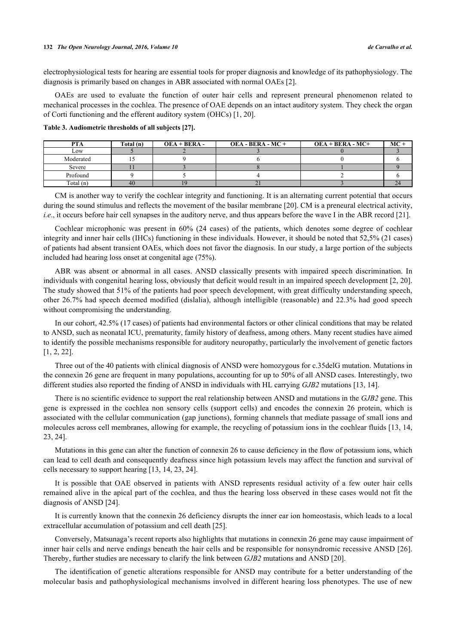## **132** *The Open Neurology Journal, 2016, Volume 10 de Carvalho et al.*

electrophysiological tests for hearing are essential tools for proper diagnosis and knowledge of its pathophysiology. The diagnosis is primarily based on changes in ABR associated with normal OAEs [[2\]](#page-7-3).

OAEs are used to evaluate the function of outer hair cells and represent preneural phenomenon related to mechanical processes in the cochlea. The presence of OAE depends on an intact auditory system. They check the organ of Corti functioning and the efferent auditory system (OHCs) [\[1](#page-6-0), [20](#page-7-16)].

<span id="page-5-0"></span>**Table 3. Audiometric thresholds of all subjects [[27\]](#page-8-0).**

| <b>PTA</b>  | Total (n) | $OEA + BERA -$ | $OEA - BERA - MC +$ | $OEA + BERA - MC +$ | $MC -$ |
|-------------|-----------|----------------|---------------------|---------------------|--------|
| Low         |           |                |                     |                     |        |
| Moderated   |           |                |                     |                     |        |
| Severe      |           |                |                     |                     |        |
| Profound    |           |                |                     |                     |        |
| Total $(n)$ | 40        |                |                     |                     |        |

CM is another way to verify the cochlear integrity and functioning. It is an alternating current potential that occurs during the sound stimulus and reflects the movement of the basilar membrane [\[20](#page-7-16)]. CM is a preneural electrical activity, *i.e.*, it occurs before hair cell synapses in the auditory nerve, and thus appears before the wave I in the ABR record [\[21](#page-7-17)].

Cochlear microphonic was present in 60% (24 cases) of the patients, which denotes some degree of cochlear integrity and inner hair cells (IHCs) functioning in these individuals. However, it should be noted that 52,5% (21 cases) of patients had absent transient OAEs, which does not favor the diagnosis. In our study, a large portion of the subjects included had hearing loss onset at congenital age (75%).

ABR was absent or abnormal in all cases. ANSD classically presents with impaired speech discrimination. In individuals with congenital hearing loss, obviously that deficit would result in an impaired speech development [[2,](#page-7-3) [20\]](#page-7-16). The study showed that 51% of the patients had poor speech development, with great difficulty understanding speech, other 26.7% had speech deemed modified (dislalia), although intelligible (reasonable) and 22.3% had good speech without compromising the understanding.

In our cohort, 42.5% (17 cases) of patients had environmental factors or other clinical conditions that may be related to ANSD, such as neonatal ICU, prematurity, family history of deafness, among others. Many recent studies have aimed to identify the possible mechanisms responsible for auditory neuropathy, particularly the involvement of genetic factors [\[1](#page-6-0), [2](#page-7-3), [22](#page-8-1)].

Three out of the 40 patients with clinical diagnosis of ANSD were homozygous for c.35delG mutation. Mutations in the connexin 26 gene are frequent in many populations, accounting for up to 50% of all ANSD cases. Interestingly, two different studies also reported the finding of ANSD in individuals with HL carrying *GJB2* mutations [[13,](#page-7-11) [14\]](#page-7-12).

There is no scientific evidence to support the real relationship between ANSD and mutations in the *GJB2* gene. This gene is expressed in the cochlea non sensory cells (support cells) and encodes the connexin 26 protein, which is associated with the cellular communication (gap junctions), forming channels that mediate passage of small ions and molecules across cell membranes, allowing for example, the recycling of potassium ions in the cochlear fluids [[13](#page-7-11)[, 14](#page-7-12), [23,](#page-8-2) [24\]](#page-8-3).

Mutations in this gene can alter the function of connexin 26 to cause deficiency in the flow of potassium ions, which can lead to cell death and consequently deafness since high potassium levels may affect the function and survival of cells necessary to support hearing [\[13](#page-7-11), [14](#page-7-12), [23](#page-8-2), [24](#page-8-3)].

It is possible that OAE observed in patients with ANSD represents residual activity of a few outer hair cells remained alive in the apical part of the cochlea, and thus the hearing loss observed in these cases would not fit the diagnosis of ANSD [[24\]](#page-8-3).

It is currently known that the connexin 26 deficiency disrupts the inner ear ion homeostasis, which leads to a local extracellular accumulation of potassium and cell death [[25\]](#page-8-4).

Conversely, Matsunaga's recent reports also highlights that mutations in connexin 26 gene may cause impairment of inner hair cells and nerve endings beneath the hair cells and be responsible for nonsyndromic recessive ANSD [\[26\]](#page-8-5). Thereby, further studies are necessary to clarify the link between *GJB2* mutations and ANSD [[20\]](#page-7-16).

The identification of genetic alterations responsible for ANSD may contribute for a better understanding of the molecular basis and pathophysiological mechanisms involved in different hearing loss phenotypes. The use of new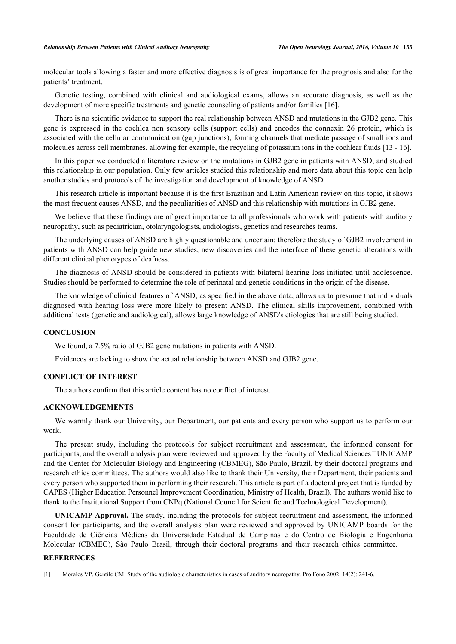#### *Relationship Between Patients with Clinical Auditory Neuropathy The Open Neurology Journal, 2016, Volume 10* **133**

molecular tools allowing a faster and more effective diagnosis is of great importance for the prognosis and also for the patients' treatment.

Genetic testing, combined with clinical and audiological exams, allows an accurate diagnosis, as well as the development of more specific treatments and genetic counseling of patients and/or families [\[16](#page-7-13)].

There is no scientific evidence to support the real relationship between ANSD and mutations in the GJB2 gene. This gene is expressed in the cochlea non sensory cells (support cells) and encodes the connexin 26 protein, which is associated with the cellular communication (gap junctions), forming channels that mediate passage of small ions and molecules across cell membranes, allowing for example, the recycling of potassium ions in the cochlear fluids [\[13](#page-7-11) - [16\]](#page-7-13).

In this paper we conducted a literature review on the mutations in GJB2 gene in patients with ANSD, and studied this relationship in our population. Only few articles studied this relationship and more data about this topic can help another studies and protocols of the investigation and development of knowledge of ANSD.

This research article is important because it is the first Brazilian and Latin American review on this topic, it shows the most frequent causes ANSD, and the peculiarities of ANSD and this relationship with mutations in GJB2 gene.

We believe that these findings are of great importance to all professionals who work with patients with auditory neuropathy, such as pediatrician, otolaryngologists, audiologists, genetics and researches teams.

The underlying causes of ANSD are highly questionable and uncertain; therefore the study of GJB2 involvement in patients with ANSD can help guide new studies, new discoveries and the interface of these genetic alterations with different clinical phenotypes of deafness.

The diagnosis of ANSD should be considered in patients with bilateral hearing loss initiated until adolescence. Studies should be performed to determine the role of perinatal and genetic conditions in the origin of the disease.

The knowledge of clinical features of ANSD, as specified in the above data, allows us to presume that individuals diagnosed with hearing loss were more likely to present ANSD. The clinical skills improvement, combined with additional tests (genetic and audiological), allows large knowledge of ANSD's etiologies that are still being studied.

#### **CONCLUSION**

We found, a 7.5% ratio of GJB2 gene mutations in patients with ANSD.

Evidences are lacking to show the actual relationship between ANSD and GJB2 gene.

## **CONFLICT OF INTEREST**

The authors confirm that this article content has no conflict of interest.

## **ACKNOWLEDGEMENTS**

We warmly thank our University, our Department, our patients and every person who support us to perform our work.

The present study, including the protocols for subject recruitment and assessment, the informed consent for participants, and the overall analysis plan were reviewed and approved by the Faculty of Medical Sciences□UNICAMP and the Center for Molecular Biology and Engineering (CBMEG), São Paulo, Brazil, by their doctoral programs and research ethics committees. The authors would also like to thank their University, their Department, their patients and every person who supported them in performing their research. This article is part of a doctoral project that is funded by CAPES (Higher Education Personnel Improvement Coordination, Ministry of Health, Brazil). The authors would like to thank to the Institutional Support from CNPq (National Council for Scientific and Technological Development).

**UNICAMP Approval.** The study, including the protocols for subject recruitment and assessment, the informed consent for participants, and the overall analysis plan were reviewed and approved by UNICAMP boards for the Faculdade de Ciências Médicas da Universidade Estadual de Campinas e do Centro de Biologia e Engenharia Molecular (CBMEG), São Paulo Brasil, through their doctoral programs and their research ethics committee.

## **REFERENCES**

<span id="page-6-0"></span><sup>[1]</sup> Morales VP, Gentile CM. Study of the audiologic characteristics in cases of auditory neuropathy. Pro Fono 2002; 14(2): 241-6.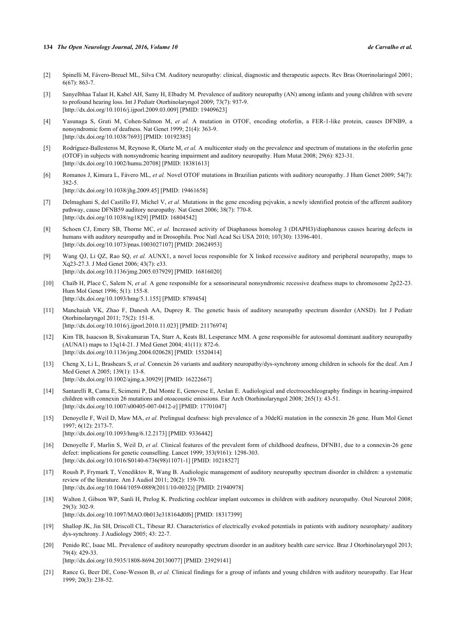#### **134** *The Open Neurology Journal, 2016, Volume 10 de Carvalho et al.*

- <span id="page-7-3"></span>[2] Spinelli M, Fávero-Breuel ML, Silva CM. Auditory neuropathy: clinical, diagnostic and therapeutic aspects. Rev Bras Otorrinolaringol 2001; 6(67): 863-7.
- <span id="page-7-0"></span>[3] Sanyelbhaa Talaat H, Kabel AH, Samy H, Elbadry M. Prevalence of auditory neuropathy (AN) among infants and young children with severe to profound hearing loss. Int J Pediatr Otorhinolaryngol 2009; 73(7): 937-9. [\[http://dx.doi.org/10.1016/j.ijporl.2009.03.009](http://dx.doi.org/10.1016/j.ijporl.2009.03.009)] [PMID: [19409623\]](http://www.ncbi.nlm.nih.gov/pubmed/19409623)
- <span id="page-7-1"></span>[4] Yasunaga S, Grati M, Cohen-Salmon M, *et al.* A mutation in OTOF, encoding otoferlin, a FER-1-like protein, causes DFNB9, a nonsyndromic form of deafness. Nat Genet 1999; 21(4): 363-9. [\[http://dx.doi.org/10.1038/7693\]](http://dx.doi.org/10.1038/7693) [PMID: [10192385](http://www.ncbi.nlm.nih.gov/pubmed/10192385)]
- <span id="page-7-2"></span>[5] Rodríguez-Ballesteros M, Reynoso R, Olarte M, *et al.* A multicenter study on the prevalence and spectrum of mutations in the otoferlin gene (OTOF) in subjects with nonsyndromic hearing impairment and auditory neuropathy. Hum Mutat 2008; 29(6): 823-31. [\[http://dx.doi.org/10.1002/humu.20708](http://dx.doi.org/10.1002/humu.20708)] [PMID: [18381613\]](http://www.ncbi.nlm.nih.gov/pubmed/18381613)
- <span id="page-7-4"></span>[6] Romanos J, Kimura L, Fávero ML, *et al.* Novel OTOF mutations in Brazilian patients with auditory neuropathy. J Hum Genet 2009; 54(7): 382-5.

[\[http://dx.doi.org/10.1038/jhg.2009.45](http://dx.doi.org/10.1038/jhg.2009.45)] [PMID: [19461658\]](http://www.ncbi.nlm.nih.gov/pubmed/19461658)

- <span id="page-7-5"></span>[7] Delmaghani S, del Castillo FJ, Michel V, *et al.* Mutations in the gene encoding pejvakin, a newly identified protein of the afferent auditory pathway, cause DFNB59 auditory neuropathy. Nat Genet 2006; 38(7): 770-8. [\[http://dx.doi.org/10.1038/ng1829\]](http://dx.doi.org/10.1038/ng1829) [PMID: [16804542](http://www.ncbi.nlm.nih.gov/pubmed/16804542)]
- <span id="page-7-6"></span>[8] Schoen CJ, Emery SB, Thorne MC, *et al.* Increased activity of Diaphanous homolog 3 (DIAPH3)/diaphanous causes hearing defects in humans with auditory neuropathy and in Drosophila. Proc Natl Acad Sci USA 2010; 107(30): 13396-401. [\[http://dx.doi.org/10.1073/pnas.1003027107](http://dx.doi.org/10.1073/pnas.1003027107)] [PMID: [20624953](http://www.ncbi.nlm.nih.gov/pubmed/20624953)]
- <span id="page-7-7"></span>[9] Wang QJ, Li QZ, Rao SQ, *et al.* AUNX1, a novel locus responsible for X linked recessive auditory and peripheral neuropathy, maps to Xq23-27.3. J Med Genet 2006; 43(7): e33. [\[http://dx.doi.org/10.1136/jmg.2005.037929](http://dx.doi.org/10.1136/jmg.2005.037929)] [PMID: [16816020\]](http://www.ncbi.nlm.nih.gov/pubmed/16816020)
- <span id="page-7-8"></span>[10] Chaïb H, Place C, Salem N, *et al.* A gene responsible for a sensorineural nonsyndromic recessive deafness maps to chromosome 2p22-23. Hum Mol Genet 1996; 5(1): 155-8. [\[http://dx.doi.org/10.1093/hmg/5.1.155](http://dx.doi.org/10.1093/hmg/5.1.155)] [PMID: [8789454\]](http://www.ncbi.nlm.nih.gov/pubmed/8789454)
- <span id="page-7-9"></span>[11] Manchaiah VK, Zhao F, Danesh AA, Duprey R. The genetic basis of auditory neuropathy spectrum disorder (ANSD). Int J Pediatr Otorhinolaryngol 2011; 75(2): 151-8. [\[http://dx.doi.org/10.1016/j.ijporl.2010.11.023](http://dx.doi.org/10.1016/j.ijporl.2010.11.023)] [PMID: [21176974\]](http://www.ncbi.nlm.nih.gov/pubmed/21176974)
- <span id="page-7-10"></span>[12] Kim TB, Isaacson B, Sivakumaran TA, Starr A, Keats BJ, Lesperance MM. A gene responsible for autosomal dominant auditory neuropathy (AUNA1) maps to 13q14-21. J Med Genet 2004; 41(11): 872-6. [\[http://dx.doi.org/10.1136/jmg.2004.020628](http://dx.doi.org/10.1136/jmg.2004.020628)] [PMID: [15520414\]](http://www.ncbi.nlm.nih.gov/pubmed/15520414)
- <span id="page-7-11"></span>[13] Cheng X, Li L, Brashears S, *et al.* Connexin 26 variants and auditory neuropathy/dys-synchrony among children in schools for the deaf. Am J Med Genet A 2005; 139(1): 13-8. [\[http://dx.doi.org/10.1002/ajmg.a.30929](http://dx.doi.org/10.1002/ajmg.a.30929)] [PMID: [16222667\]](http://www.ncbi.nlm.nih.gov/pubmed/16222667)
- <span id="page-7-12"></span>[14] Santarelli R, Cama E, Scimemi P, Dal Monte E, Genovese E, Arslan E. Audiological and electrocochleography findings in hearing-impaired children with connexin 26 mutations and otoacoustic emissions. Eur Arch Otorhinolaryngol 2008; 265(1): 43-51. [\[http://dx.doi.org/10.1007/s00405-007-0412-z](http://dx.doi.org/10.1007/s00405-007-0412-z)] [PMID: [17701047](http://www.ncbi.nlm.nih.gov/pubmed/17701047)]
- [15] Denoyelle F, Weil D, Maw MA, *et al.* Prelingual deafness: high prevalence of a 30delG mutation in the connexin 26 gene. Hum Mol Genet 1997; 6(12): 2173-7. [\[http://dx.doi.org/10.1093/hmg/6.12.2173](http://dx.doi.org/10.1093/hmg/6.12.2173)] [PMID: [9336442\]](http://www.ncbi.nlm.nih.gov/pubmed/9336442)
- <span id="page-7-13"></span>[16] Denoyelle F, Marlin S, Weil D, *et al.* Clinical features of the prevalent form of childhood deafness, DFNB1, due to a connexin-26 gene defect: implications for genetic counselling. Lancet 1999; 353(9161): 1298-303.

[\[http://dx.doi.org/10.1016/S0140-6736\(98\)11071-1\]](http://dx.doi.org/10.1016/S0140-6736(98)11071-1) [PMID: [10218527](http://www.ncbi.nlm.nih.gov/pubmed/10218527)]

- <span id="page-7-14"></span>[17] Roush P, Frymark T, Venediktov R, Wang B. Audiologic management of auditory neuropathy spectrum disorder in children: a systematic review of the literature. Am J Audiol 2011; 20(2): 159-70. [\[http://dx.doi.org/10.1044/1059-0889\(2011/10-0032\)\]](http://dx.doi.org/10.1044/1059-0889(2011/10-0032)) [PMID: [21940978](http://www.ncbi.nlm.nih.gov/pubmed/21940978)]
- [18] Walton J, Gibson WP, Sanli H, Prelog K. Predicting cochlear implant outcomes in children with auditory neuropathy. Otol Neurotol 2008;  $29(3)$ : 302-9. [\[http://dx.doi.org/10.1097/MAO.0b013e318164d0f6\]](http://dx.doi.org/10.1097/MAO.0b013e318164d0f6) [PMID: [18317399](http://www.ncbi.nlm.nih.gov/pubmed/18317399)]
- <span id="page-7-15"></span>[19] Shallop JK, Jin SH, Driscoll CL, Tibesar RJ. Characteristics of electrically evoked potentials in patients with auditory neurophaty/ auditory dys-synchrony. J Audiology 2005; 43: 22-7.
- <span id="page-7-16"></span>[20] Penido RC, Isaac ML. Prevalence of auditory neuropathy spectrum disorder in an auditory health care service. Braz J Otorhinolaryngol 2013; 79(4): 429-33. [\[http://dx.doi.org/10.5935/1808-8694.20130077](http://dx.doi.org/10.5935/1808-8694.20130077)] [PMID: [23929141](http://www.ncbi.nlm.nih.gov/pubmed/23929141)]
- <span id="page-7-17"></span>[21] Rance G, Beer DE, Cone-Wesson B, *et al.* Clinical findings for a group of infants and young children with auditory neuropathy. Ear Hear 1999; 20(3): 238-52.